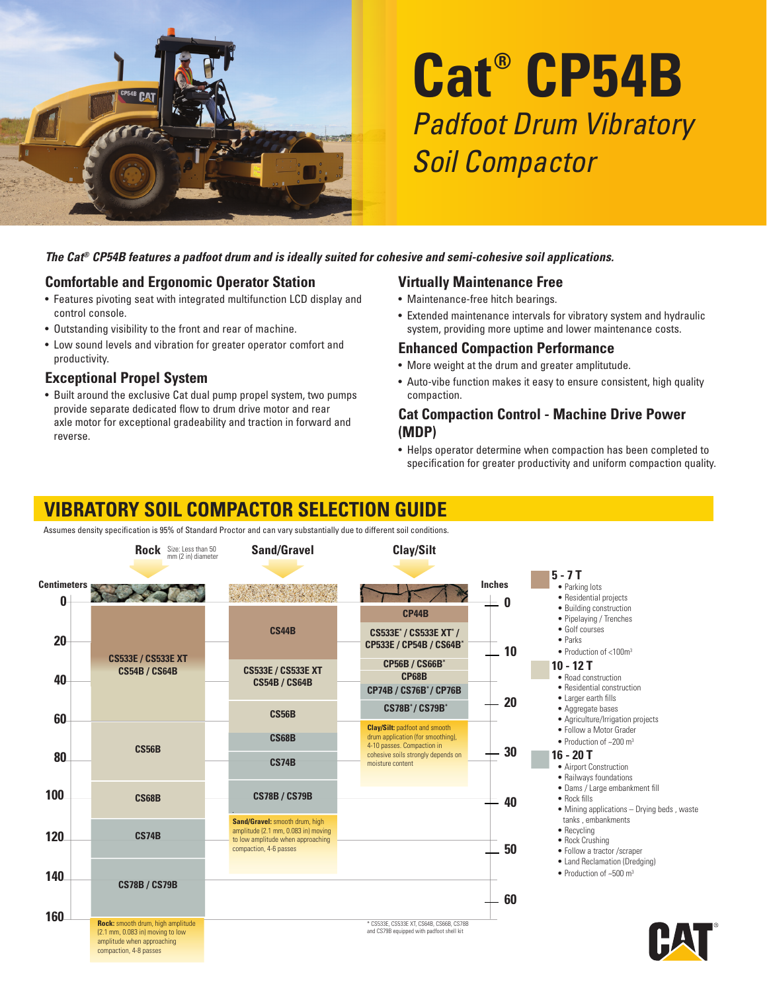

# **Cat® CP54B** Padfoot Drum Vibratory Soil Compactor

#### *The Cat® CP54B features a padfoot drum and is ideally suited for cohesive and semi-cohesive soil applications.*

#### **Comfortable and Ergonomic Operator Station**

- Features pivoting seat with integrated multifunction LCD display and control console.
- Outstanding visibility to the front and rear of machine.
- Low sound levels and vibration for greater operator comfort and productivity.

#### **Exceptional Propel System**

• Built around the exclusive Cat dual pump propel system, two pumps provide separate dedicated flow to drum drive motor and rear axle motor for exceptional gradeability and traction in forward and reverse.

#### **Virtually Maintenance Free**

- Maintenance-free hitch bearings.
- Extended maintenance intervals for vibratory system and hydraulic system, providing more uptime and lower maintenance costs.

#### **Enhanced Compaction Performance**

- More weight at the drum and greater amplitutude.
- Auto-vibe function makes it easy to ensure consistent, high quality compaction.

#### **Cat Compaction Control - Machine Drive Power (MDP)**

• Helps operator determine when compaction has been completed to specification for greater productivity and uniform compaction quality.

## **VIBRATORY SOIL COMPACTOR SELECTION GUIDE**

Assumes density specification is 95% of Standard Proctor and can vary substantially due to different soil conditions.

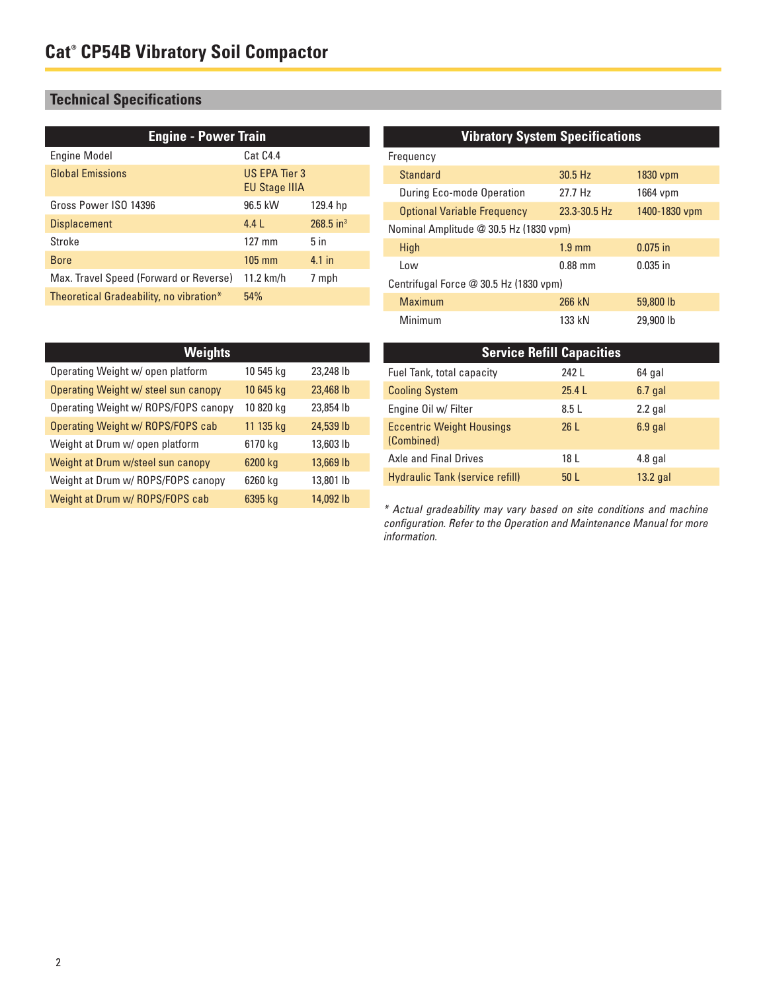### **Technical Specifications**

| <b>Engine - Power Train</b>             |                                       |                         |  |
|-----------------------------------------|---------------------------------------|-------------------------|--|
| <b>Engine Model</b>                     | Cat C4.4                              |                         |  |
| <b>Global Emissions</b>                 | US EPA Tier 3<br><b>EU Stage IIIA</b> |                         |  |
| Gross Power ISO 14396                   | 96.5 kW                               | 129.4 hp                |  |
| <b>Displacement</b>                     | 4.4L                                  | $268.5$ in <sup>3</sup> |  |
| Stroke                                  | $127 \text{ mm}$                      | 5 <sub>in</sub>         |  |
| <b>Bore</b>                             | $105 \text{ mm}$                      | 4.1 in                  |  |
| Max. Travel Speed (Forward or Reverse)  | 11.2 km/h                             | 7 mph                   |  |
| Theoretical Gradeability, no vibration* | 54%                                   |                         |  |

#### **Vibratory System Specifications**

| Frequency                              |               |  |  |  |
|----------------------------------------|---------------|--|--|--|
| 30.5 Hz                                | $1830$ vpm    |  |  |  |
| 27.7 Hz                                | 1664 vpm      |  |  |  |
| 23.3-30.5 Hz                           | 1400-1830 vpm |  |  |  |
| Nominal Amplitude @ 30.5 Hz (1830 vpm) |               |  |  |  |
| $1.9 \text{ mm}$                       | $0.075$ in    |  |  |  |
| $0.88$ mm                              | $0.035$ in    |  |  |  |
| Centrifugal Force @ 30.5 Hz (1830 vpm) |               |  |  |  |
| 266 kN                                 | 59,800 lb     |  |  |  |
| 133 kN                                 | 29,900 lb     |  |  |  |
|                                        |               |  |  |  |

| <b>Weights</b>                       |           |           |  |
|--------------------------------------|-----------|-----------|--|
| Operating Weight w/ open platform    | 10 545 kg | 23,248 lb |  |
| Operating Weight w/ steel sun canopy | 10 645 kg | 23,468 lb |  |
| Operating Weight w/ ROPS/FOPS canopy | 10 820 kg | 23,854 lb |  |
| Operating Weight w/ ROPS/FOPS cab    | 11 135 kg | 24,539 lb |  |
| Weight at Drum w/ open platform      | 6170 kg   | 13,603 lb |  |
| Weight at Drum w/steel sun canopy    | 6200 kg   | 13,669 lb |  |
| Weight at Drum w/ ROPS/FOPS canopy   | 6260 kg   | 13,801 lb |  |
| Weight at Drum w/ ROPS/FOPS cab      | 6395 kg   | 14,092 lb |  |

| <b>Service Refill Capacities</b>               |                 |            |  |
|------------------------------------------------|-----------------|------------|--|
| Fuel Tank, total capacity                      | 242 L           | 64 gal     |  |
| <b>Cooling System</b>                          | 25.4L           | $6.7$ gal  |  |
| Engine Oil w/ Filter                           | 8.5L            | $2.2$ gal  |  |
| <b>Eccentric Weight Housings</b><br>(Combined) | 26L             | $6.9$ gal  |  |
| Axle and Final Drives                          | 18 L            | $4.8$ gal  |  |
| <b>Hydraulic Tank (service refill)</b>         | 50 <sub>1</sub> | $13.2$ gal |  |

\* Actual gradeability may vary based on site conditions and machine configuration. Refer to the Operation and Maintenance Manual for more information.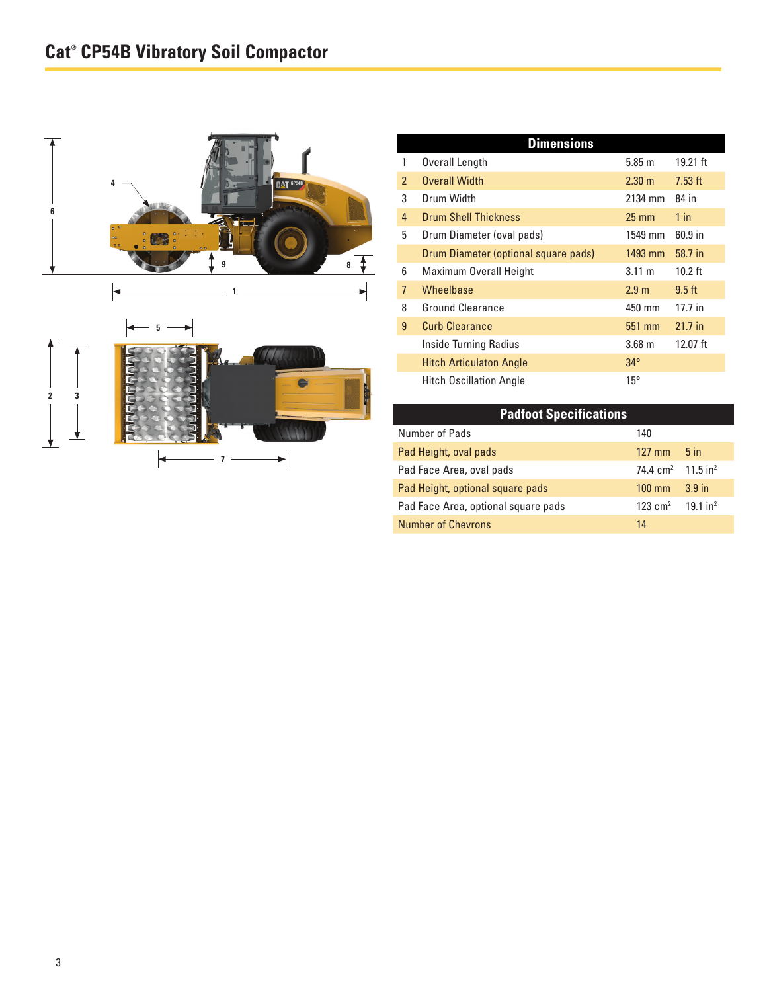

| <b>Dimensions</b> |                                      |                   |            |
|-------------------|--------------------------------------|-------------------|------------|
| 1                 | Overall Length                       | 5.85 m            | $19.21$ ft |
| $\mathfrak{p}$    | <b>Overall Width</b>                 | $2.30 \text{ m}$  | $7.53$ ft  |
| 3                 | Drum Width                           | 2134 mm           | 84 in      |
| 4                 | <b>Drum Shell Thickness</b>          | $25 \text{ mm}$   | $1$ in     |
| 5                 | Drum Diameter (oval pads)            | 1549 mm           | $60.9$ in  |
|                   | Drum Diameter (optional square pads) | 1493 mm           | 58.7 in    |
| 6                 | Maximum Overall Height               | $3.11 \text{ m}$  | $10.2$ ft  |
| $\overline{7}$    | <b>Wheelbase</b>                     | 2.9 <sub>m</sub>  | $9.5$ ft   |
| 8                 | <b>Ground Clearance</b>              | 450 mm            | 17.7 in    |
| 9                 | <b>Curb Clearance</b>                | 551 mm            | $21.7$ in  |
|                   | Inside Turning Radius                | 3.68 <sub>m</sub> | 12.07 $ft$ |
|                   | <b>Hitch Articulaton Angle</b>       | $34^\circ$        |            |
|                   | <b>Hitch Oscillation Angle</b>       | $15^{\circ}$      |            |

| <b>Padfoot Specifications</b>       |                                 |                     |  |
|-------------------------------------|---------------------------------|---------------------|--|
| Number of Pads                      | 140                             |                     |  |
| Pad Height, oval pads               | $127 \text{ mm}$                | 5 <sub>in</sub>     |  |
| Pad Face Area, oval pads            | 74.4 $cm2$ 11.5 in <sup>2</sup> |                     |  |
| Pad Height, optional square pads    | $100 \text{ mm}$                | 3.9 <sub>in</sub>   |  |
| Pad Face Area, optional square pads | 123 $cm2$                       | 191 in <sup>2</sup> |  |
| <b>Number of Chevrons</b>           | 14                              |                     |  |